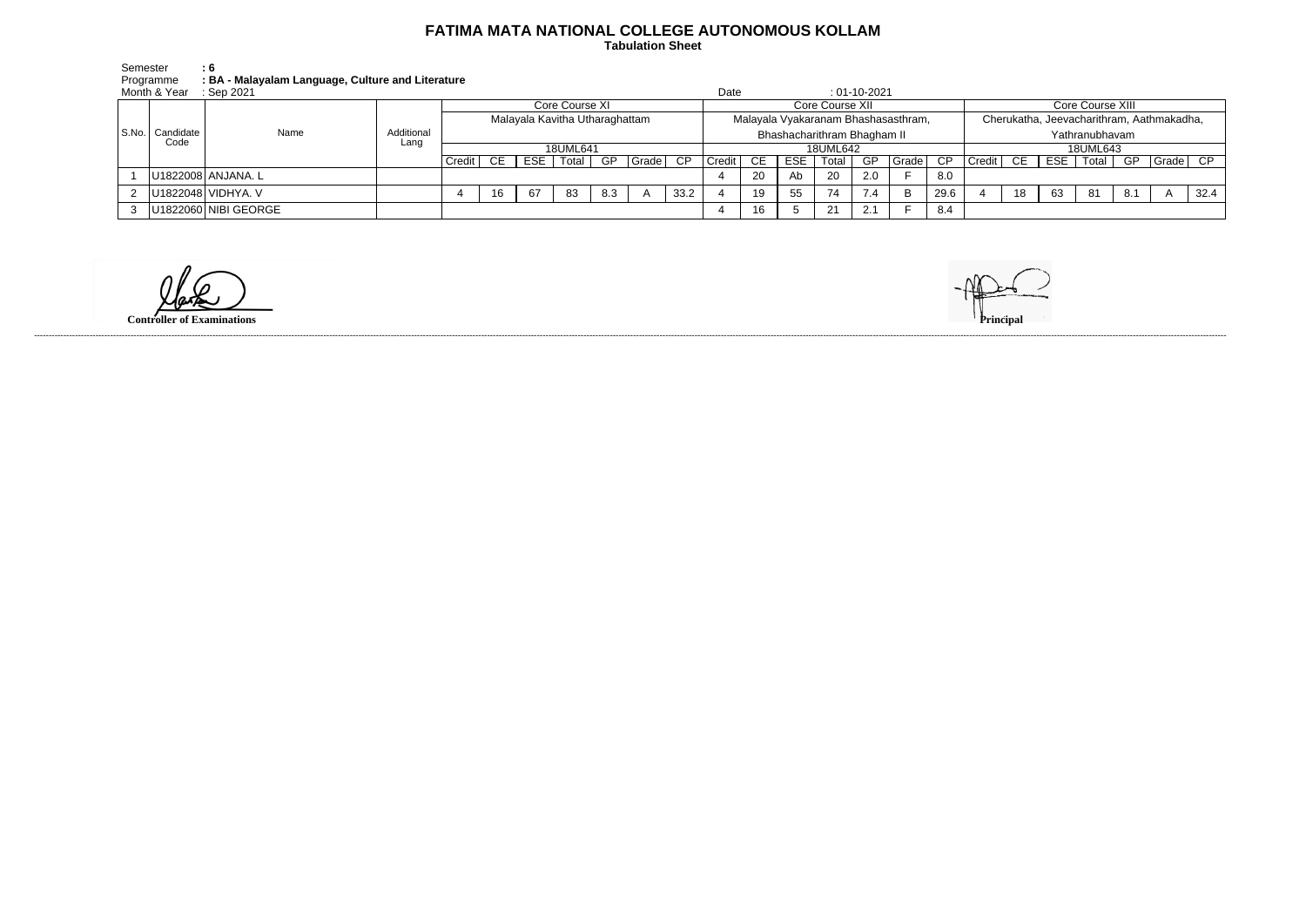## **FATIMA MATA NATIONAL COLLEGE AUTONOMOUS KOLLAM**

 **Tabulation Sheet** 

| Semester     | - 6                                               |
|--------------|---------------------------------------------------|
| Programme    | : BA - Malayalam Language, Culture and Literature |
| Month & Year | ∴ Sen 2021                                        |

|  | Month & Year              | Sep 2021             |            |                                |     |            |          |     |       |                                     | Date            |           |     |                             | $: 01-10-2021$ |                                           |      |                  |    |            |                |     |                   |      |
|--|---------------------------|----------------------|------------|--------------------------------|-----|------------|----------|-----|-------|-------------------------------------|-----------------|-----------|-----|-----------------------------|----------------|-------------------------------------------|------|------------------|----|------------|----------------|-----|-------------------|------|
|  | S.No.   Candidate<br>Code | Name                 | Additional | Core Course XI                 |     |            |          |     |       |                                     | Core Course XII |           |     |                             |                |                                           |      | Core Course XIII |    |            |                |     |                   |      |
|  |                           |                      |            | Malayala Kavitha Utharaghattam |     |            |          |     |       | Malayala Vyakaranam Bhashasasthram, |                 |           |     |                             |                | Cherukatha, Jeevacharithram, Aathmakadha, |      |                  |    |            |                |     |                   |      |
|  |                           |                      |            |                                |     |            |          |     |       |                                     |                 |           |     | Bhashacharithram Bhagham II |                |                                           |      |                  |    |            | Yathranubhavam |     |                   |      |
|  |                           |                      | Lang       |                                |     |            | 18UML641 |     |       |                                     |                 |           |     | 18UML642                    |                |                                           |      |                  |    |            | 18UML643       |     |                   |      |
|  |                           |                      |            | Credit                         | CE. | <b>ESE</b> | Total    | -GP | Grade | CP                                  | Credit          | <b>CE</b> | ESE | Total                       | GP             | Grade $ $                                 | CP   | Credit           | CE | <b>ESE</b> | Total          | GP  | $\sqrt{Grade}$ CP |      |
|  |                           | U1822008 ANJANA. L   |            |                                |     |            |          |     |       |                                     |                 | 20        | Ab  | -20                         | 2.0            |                                           | 8.0  |                  |    |            |                |     |                   |      |
|  |                           | U1822048 VIDHYA. V   |            |                                |     | 67         | -83      | 8.3 |       | 33.2                                |                 | 19        | 55  | 74                          | 7.4            | B.                                        | 29.6 |                  | 18 | 63         | 81             | 8.1 |                   | 32.4 |
|  |                           | U1822060 NIBI GEORGE |            |                                |     |            |          |     |       |                                     |                 | 16        |     | 21                          |                |                                           | 8.4  |                  |    |            |                |     |                   |      |

**Controller of Examinations** 

------------------------------------------------------------------------------------------------------------------------------------------------------------------------------------------------------------------------------------------------------------------------------------------------------------------------------------------------------------------------------------------------------------------------